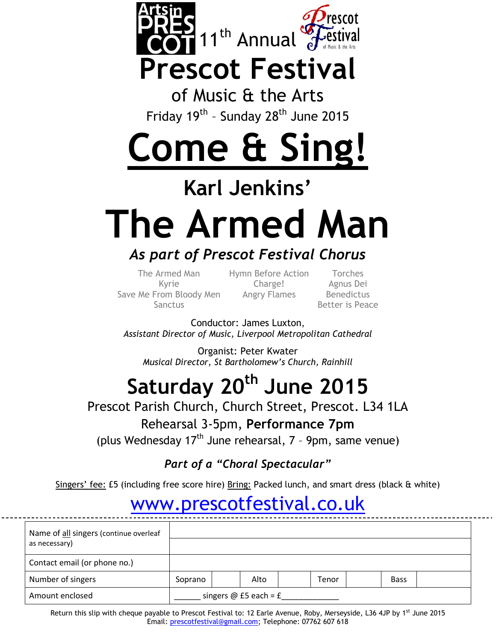

## **Prescot Festival**

of Music & the Arts Friday 19<sup>th</sup> - Sunday 28<sup>th</sup> June 2015

# **Come & Sing!**

## **Karl Jenkins'**

# **The Armed Man**

### *As part of Prescot Festival Chorus*

The Armed Man Hymn Before Action Torches Save Me From Bloody Men Angry Flames Benedictus Sanctus **Better** is Peace

Kyrie Charge! Agnus Dei

Conductor: James Luxton, *Assistant Director of Music, Liverpool Metropolitan Cathedral*

Organist: Peter Kwater *Musical Director, St Bartholomew's Church, Rainhill*

## **Saturday 20 th June 2015**

#### Prescot Parish Church, Church Street, Prescot. L34 1LA

#### Rehearsal 3-5pm, **Performance 7pm**

(plus Wednesday 17<sup>th</sup> June rehearsal, 7 - 9pm, same venue)

*Part of a "Choral Spectacular"*

Singers' fee: £5 (including free score hire) Bring: Packed lunch, and smart dress (black & white)

### [www.prescotfestival.co.uk](http://www.prescotfestival.co.uk/)

| Name of all singers (continue overleaf<br>as necessary) |                         |  |      |  |              |  |             |  |
|---------------------------------------------------------|-------------------------|--|------|--|--------------|--|-------------|--|
| Contact email (or phone no.)                            |                         |  |      |  |              |  |             |  |
| Number of singers                                       | Soprano                 |  | Alto |  | <b>Tenor</b> |  | <b>Bass</b> |  |
| Amount enclosed                                         | singers @ £5 each = $f$ |  |      |  |              |  |             |  |

Return this slip with cheque payable to Prescot Festival to: 12 Earle Avenue, Roby, Merseyside, L36 4JP by 1<sup>st</sup> June 2015 Email: prescotfestival@gmail.com; Telephone: 07762 607 618